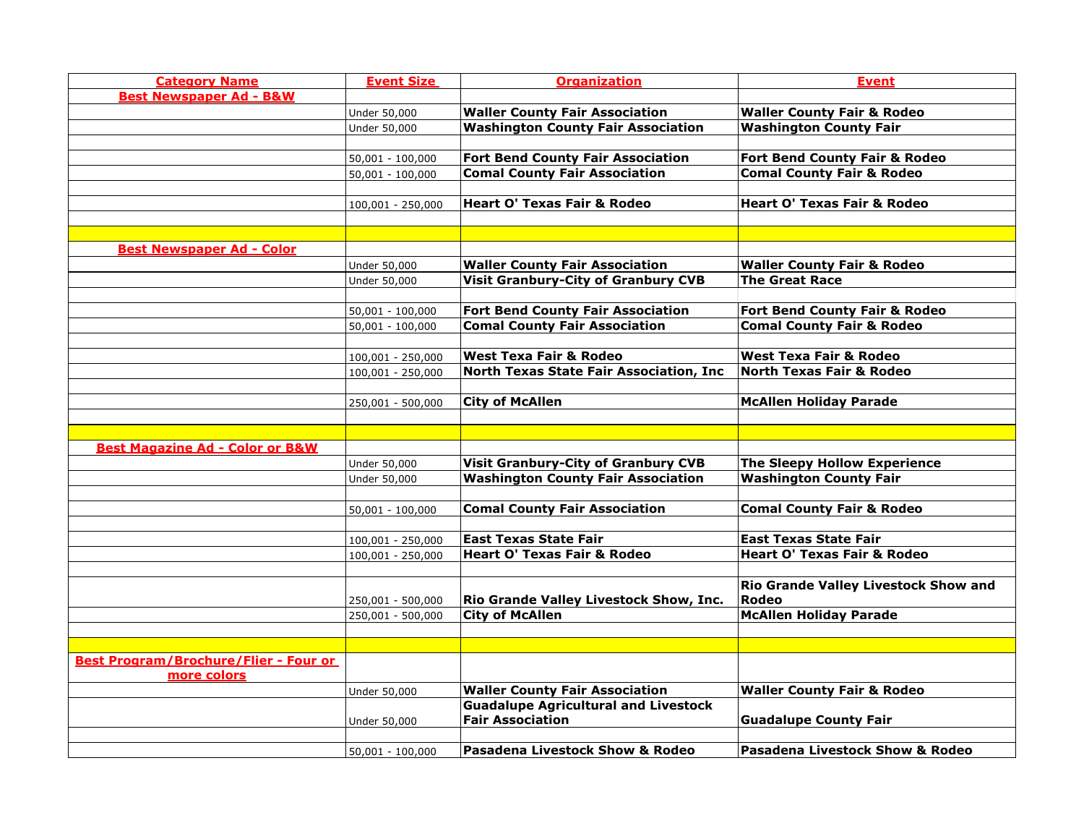| <b>Category Name</b>                       | <b>Event Size</b>  | <b>Organization</b>                                                                  | <b>Event</b>                                |
|--------------------------------------------|--------------------|--------------------------------------------------------------------------------------|---------------------------------------------|
| <b>Best Newspaper Ad - B&amp;W</b>         |                    |                                                                                      |                                             |
|                                            | Under 50,000       | <b>Waller County Fair Association</b>                                                | <b>Waller County Fair &amp; Rodeo</b>       |
|                                            | Under 50,000       | <b>Washington County Fair Association</b>                                            | <b>Washington County Fair</b>               |
|                                            |                    |                                                                                      |                                             |
|                                            | $50,001 - 100,000$ | <b>Fort Bend County Fair Association</b>                                             | Fort Bend County Fair & Rodeo               |
|                                            | $50,001 - 100,000$ | <b>Comal County Fair Association</b>                                                 | <b>Comal County Fair &amp; Rodeo</b>        |
|                                            |                    |                                                                                      |                                             |
|                                            | 100,001 - 250,000  | <b>Heart O' Texas Fair &amp; Rodeo</b>                                               | <b>Heart O' Texas Fair &amp; Rodeo</b>      |
|                                            |                    |                                                                                      |                                             |
|                                            |                    |                                                                                      |                                             |
| <b>Best Newspaper Ad - Color</b>           |                    |                                                                                      |                                             |
|                                            | Under 50,000       | <b>Waller County Fair Association</b>                                                | <b>Waller County Fair &amp; Rodeo</b>       |
|                                            | Under 50,000       | <b>Visit Granbury-City of Granbury CVB</b>                                           | <b>The Great Race</b>                       |
|                                            |                    |                                                                                      |                                             |
|                                            | $50,001 - 100,000$ | <b>Fort Bend County Fair Association</b>                                             | Fort Bend County Fair & Rodeo               |
|                                            | $50,001 - 100,000$ | <b>Comal County Fair Association</b>                                                 | <b>Comal County Fair &amp; Rodeo</b>        |
|                                            |                    |                                                                                      |                                             |
|                                            | 100,001 - 250,000  | <b>West Texa Fair &amp; Rodeo</b>                                                    | <b>West Texa Fair &amp; Rodeo</b>           |
|                                            | 100,001 - 250,000  | North Texas State Fair Association, Inc                                              | <b>North Texas Fair &amp; Rodeo</b>         |
|                                            |                    |                                                                                      |                                             |
|                                            | 250,001 - 500,000  | <b>City of McAllen</b>                                                               | <b>McAllen Holiday Parade</b>               |
|                                            |                    |                                                                                      |                                             |
|                                            |                    |                                                                                      |                                             |
| <b>Best Magazine Ad - Color or B&amp;W</b> |                    |                                                                                      |                                             |
|                                            | Under 50,000       | <b>Visit Granbury-City of Granbury CVB</b>                                           | <b>The Sleepy Hollow Experience</b>         |
|                                            | Under 50,000       | <b>Washington County Fair Association</b>                                            | <b>Washington County Fair</b>               |
|                                            |                    |                                                                                      |                                             |
|                                            | 50,001 - 100,000   | <b>Comal County Fair Association</b>                                                 | <b>Comal County Fair &amp; Rodeo</b>        |
|                                            |                    |                                                                                      |                                             |
|                                            | 100,001 - 250,000  | <b>East Texas State Fair</b>                                                         | <b>East Texas State Fair</b>                |
|                                            | 100,001 - 250,000  | <b>Heart O' Texas Fair &amp; Rodeo</b>                                               | <b>Heart O' Texas Fair &amp; Rodeo</b>      |
|                                            |                    |                                                                                      |                                             |
|                                            |                    |                                                                                      | <b>Rio Grande Valley Livestock Show and</b> |
|                                            | 250,001 - 500,000  | Rio Grande Valley Livestock Show, Inc.                                               | Rodeo                                       |
|                                            | 250,001 - 500,000  | <b>City of McAllen</b>                                                               | <b>McAllen Holiday Parade</b>               |
|                                            |                    |                                                                                      |                                             |
|                                            |                    |                                                                                      |                                             |
| Best Program/Brochure/Flier - Four or      |                    |                                                                                      |                                             |
| more colors                                |                    |                                                                                      |                                             |
|                                            | Under 50,000       | <b>Waller County Fair Association</b><br><b>Guadalupe Agricultural and Livestock</b> | <b>Waller County Fair &amp; Rodeo</b>       |
|                                            | Under 50,000       | <b>Fair Association</b>                                                              | <b>Guadalupe County Fair</b>                |
|                                            |                    |                                                                                      |                                             |
|                                            |                    | Pasadena Livestock Show & Rodeo                                                      | <b>Pasadena Livestock Show &amp; Rodeo</b>  |
|                                            | $50,001 - 100,000$ |                                                                                      |                                             |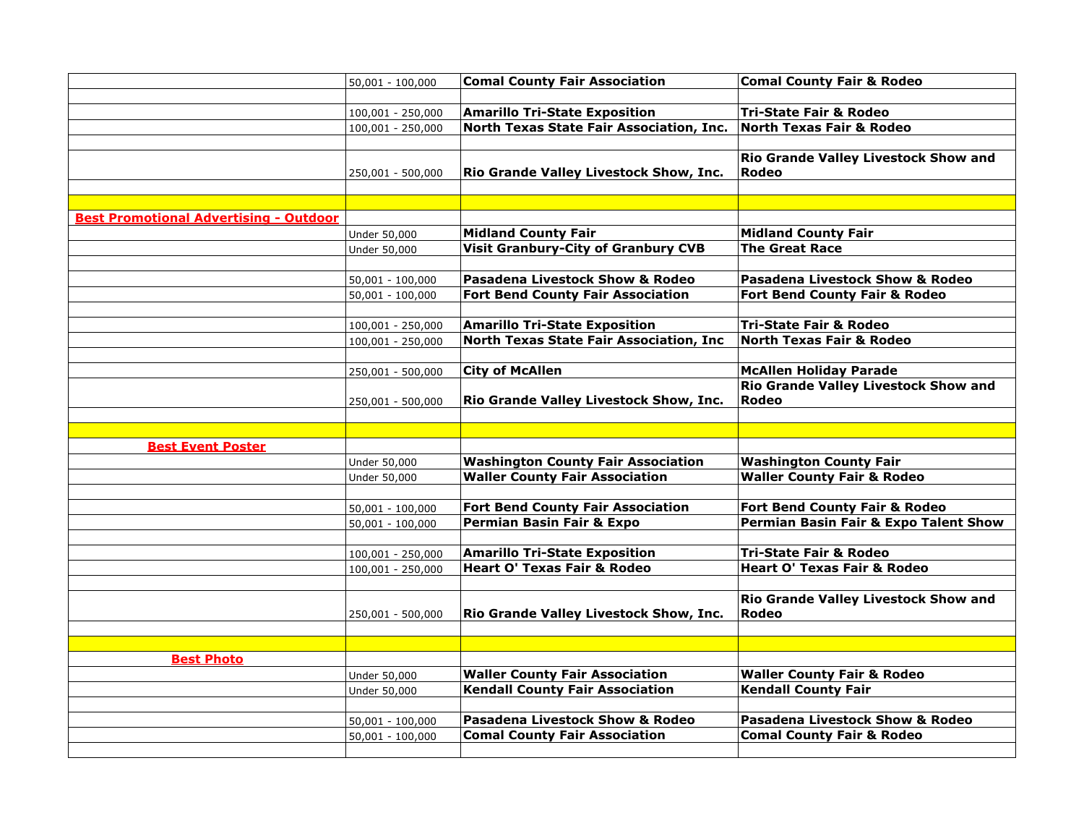|                                               | $50,001 - 100,000$ | <b>Comal County Fair Association</b>            | <b>Comal County Fair &amp; Rodeo</b>                 |
|-----------------------------------------------|--------------------|-------------------------------------------------|------------------------------------------------------|
|                                               |                    |                                                 |                                                      |
|                                               | 100,001 - 250,000  | <b>Amarillo Tri-State Exposition</b>            | <b>Tri-State Fair &amp; Rodeo</b>                    |
|                                               | 100,001 - 250,000  | <b>North Texas State Fair Association, Inc.</b> | <b>North Texas Fair &amp; Rodeo</b>                  |
|                                               |                    |                                                 |                                                      |
|                                               | 250,001 - 500,000  | Rio Grande Valley Livestock Show, Inc.          | Rio Grande Valley Livestock Show and<br>Rodeo        |
|                                               |                    |                                                 |                                                      |
|                                               |                    |                                                 |                                                      |
| <b>Best Promotional Advertising - Outdoor</b> |                    |                                                 |                                                      |
|                                               | Under 50,000       | <b>Midland County Fair</b>                      | <b>Midland County Fair</b>                           |
|                                               | Under 50,000       | <b>Visit Granbury-City of Granbury CVB</b>      | <b>The Great Race</b>                                |
|                                               |                    |                                                 |                                                      |
|                                               | $50,001 - 100,000$ | Pasadena Livestock Show & Rodeo                 | <b>Pasadena Livestock Show &amp; Rodeo</b>           |
|                                               | $50,001 - 100,000$ | <b>Fort Bend County Fair Association</b>        | Fort Bend County Fair & Rodeo                        |
|                                               |                    |                                                 |                                                      |
|                                               | 100,001 - 250,000  | <b>Amarillo Tri-State Exposition</b>            | Tri-State Fair & Rodeo                               |
|                                               | 100,001 - 250,000  | North Texas State Fair Association, Inc         | <b>North Texas Fair &amp; Rodeo</b>                  |
|                                               |                    |                                                 |                                                      |
|                                               | 250,001 - 500,000  | <b>City of McAllen</b>                          | <b>McAllen Holiday Parade</b>                        |
|                                               | 250,001 - 500,000  | Rio Grande Valley Livestock Show, Inc.          | <b>Rio Grande Valley Livestock Show and</b><br>Rodeo |
|                                               |                    |                                                 |                                                      |
|                                               |                    |                                                 |                                                      |
| <b>Best Event Poster</b>                      |                    |                                                 |                                                      |
|                                               | Under 50,000       | <b>Washington County Fair Association</b>       | <b>Washington County Fair</b>                        |
|                                               | Under 50,000       | <b>Waller County Fair Association</b>           | <b>Waller County Fair &amp; Rodeo</b>                |
|                                               |                    |                                                 |                                                      |
|                                               | 50,001 - 100,000   | <b>Fort Bend County Fair Association</b>        | Fort Bend County Fair & Rodeo                        |
|                                               | $50,001 - 100,000$ | <b>Permian Basin Fair &amp; Expo</b>            | <b>Permian Basin Fair &amp; Expo Talent Show</b>     |
|                                               |                    |                                                 |                                                      |
|                                               | 100,001 - 250,000  | <b>Amarillo Tri-State Exposition</b>            | <b>Tri-State Fair &amp; Rodeo</b>                    |
|                                               | 100,001 - 250,000  | <b>Heart O' Texas Fair &amp; Rodeo</b>          | <b>Heart O' Texas Fair &amp; Rodeo</b>               |
|                                               |                    |                                                 |                                                      |
|                                               | 250,001 - 500,000  | Rio Grande Valley Livestock Show, Inc.          | Rio Grande Valley Livestock Show and<br>Rodeo        |
|                                               |                    |                                                 |                                                      |
|                                               |                    |                                                 |                                                      |
| <b>Best Photo</b>                             |                    |                                                 |                                                      |
|                                               | Under 50,000       | <b>Waller County Fair Association</b>           | <b>Waller County Fair &amp; Rodeo</b>                |
|                                               | Under 50,000       | <b>Kendall County Fair Association</b>          | <b>Kendall County Fair</b>                           |
|                                               |                    |                                                 |                                                      |
|                                               | $50,001 - 100,000$ | Pasadena Livestock Show & Rodeo                 | Pasadena Livestock Show & Rodeo                      |
|                                               | $50,001 - 100,000$ | <b>Comal County Fair Association</b>            | <b>Comal County Fair &amp; Rodeo</b>                 |
|                                               |                    |                                                 |                                                      |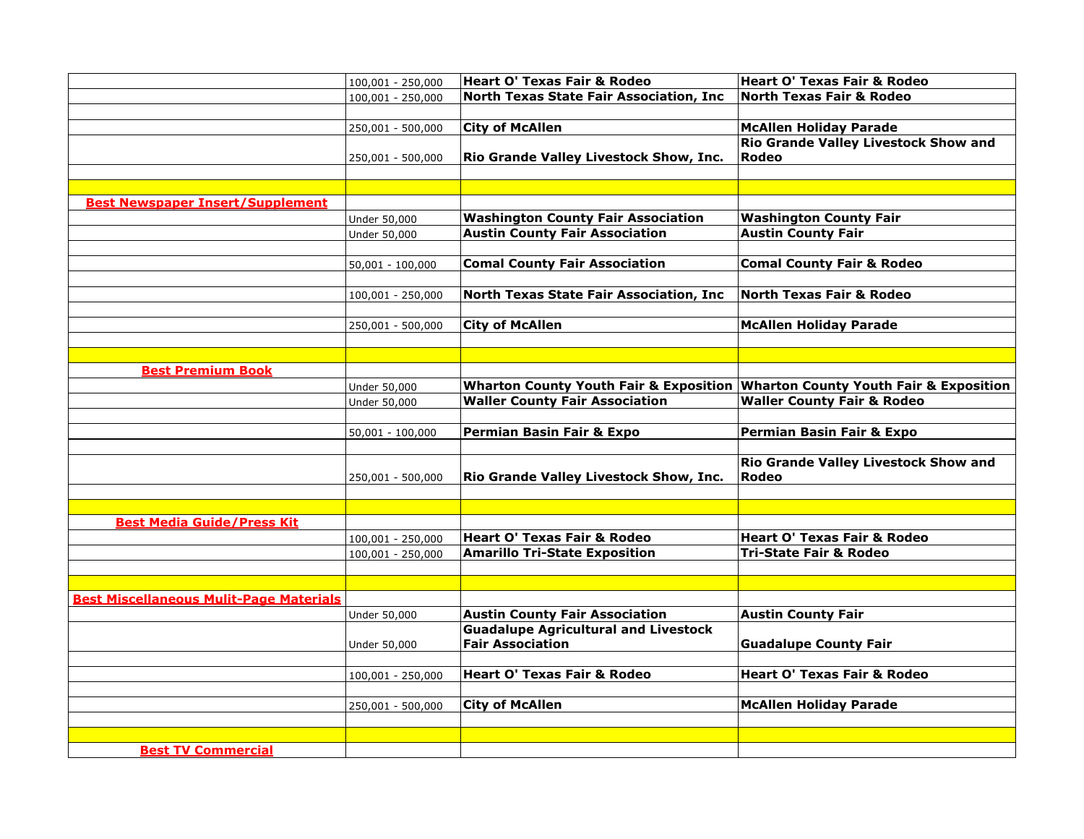|                                                | 100,001 - 250,000  | <b>Heart O' Texas Fair &amp; Rodeo</b>                                 | Heart O' Texas Fair & Rodeo                                                   |
|------------------------------------------------|--------------------|------------------------------------------------------------------------|-------------------------------------------------------------------------------|
|                                                | 100,001 - 250,000  | North Texas State Fair Association, Inc                                | <b>North Texas Fair &amp; Rodeo</b>                                           |
|                                                |                    |                                                                        |                                                                               |
|                                                | 250,001 - 500,000  | <b>City of McAllen</b>                                                 | <b>McAllen Holiday Parade</b>                                                 |
|                                                | 250,001 - 500,000  | Rio Grande Valley Livestock Show, Inc.                                 | <b>Rio Grande Valley Livestock Show and</b><br>Rodeo                          |
|                                                |                    |                                                                        |                                                                               |
| <b>Best Newspaper Insert/Supplement</b>        |                    |                                                                        |                                                                               |
|                                                | Under 50,000       | <b>Washington County Fair Association</b>                              | <b>Washington County Fair</b>                                                 |
|                                                | Under 50,000       | <b>Austin County Fair Association</b>                                  | <b>Austin County Fair</b>                                                     |
|                                                |                    |                                                                        |                                                                               |
|                                                |                    | <b>Comal County Fair Association</b>                                   | <b>Comal County Fair &amp; Rodeo</b>                                          |
|                                                | 50,001 - 100,000   |                                                                        |                                                                               |
|                                                | 100,001 - 250,000  | North Texas State Fair Association, Inc                                | <b>North Texas Fair &amp; Rodeo</b>                                           |
|                                                |                    |                                                                        |                                                                               |
|                                                | 250,001 - 500,000  | <b>City of McAllen</b>                                                 | <b>McAllen Holiday Parade</b>                                                 |
|                                                |                    |                                                                        |                                                                               |
|                                                |                    |                                                                        |                                                                               |
| <b>Best Premium Book</b>                       |                    |                                                                        |                                                                               |
|                                                | Under 50,000       |                                                                        | Wharton County Youth Fair & Exposition Wharton County Youth Fair & Exposition |
|                                                | Under 50,000       | <b>Waller County Fair Association</b>                                  | <b>Waller County Fair &amp; Rodeo</b>                                         |
|                                                | $50,001 - 100,000$ | Permian Basin Fair & Expo                                              | Permian Basin Fair & Expo                                                     |
|                                                |                    |                                                                        | Rio Grande Valley Livestock Show and                                          |
|                                                | 250,001 - 500,000  | Rio Grande Valley Livestock Show, Inc.                                 | Rodeo                                                                         |
|                                                |                    |                                                                        |                                                                               |
|                                                |                    |                                                                        |                                                                               |
| <b>Best Media Guide/Press Kit</b>              |                    |                                                                        |                                                                               |
|                                                | 100,001 - 250,000  | <b>Heart O' Texas Fair &amp; Rodeo</b>                                 | Heart O' Texas Fair & Rodeo                                                   |
|                                                | 100,001 - 250,000  | <b>Amarillo Tri-State Exposition</b>                                   | <b>Tri-State Fair &amp; Rodeo</b>                                             |
|                                                |                    |                                                                        |                                                                               |
|                                                |                    |                                                                        |                                                                               |
| <b>Best Miscellaneous Mulit-Page Materials</b> |                    |                                                                        |                                                                               |
|                                                | Under 50,000       | <b>Austin County Fair Association</b>                                  | <b>Austin County Fair</b>                                                     |
|                                                | Under 50,000       | <b>Guadalupe Agricultural and Livestock</b><br><b>Fair Association</b> | <b>Guadalupe County Fair</b>                                                  |
|                                                |                    |                                                                        |                                                                               |
|                                                | 100,001 - 250,000  | <b>Heart O' Texas Fair &amp; Rodeo</b>                                 | Heart O' Texas Fair & Rodeo                                                   |
|                                                |                    |                                                                        |                                                                               |
|                                                | 250,001 - 500,000  | <b>City of McAllen</b>                                                 | <b>McAllen Holiday Parade</b>                                                 |
|                                                |                    |                                                                        |                                                                               |
|                                                |                    |                                                                        |                                                                               |
| <b>Best TV Commercial</b>                      |                    |                                                                        |                                                                               |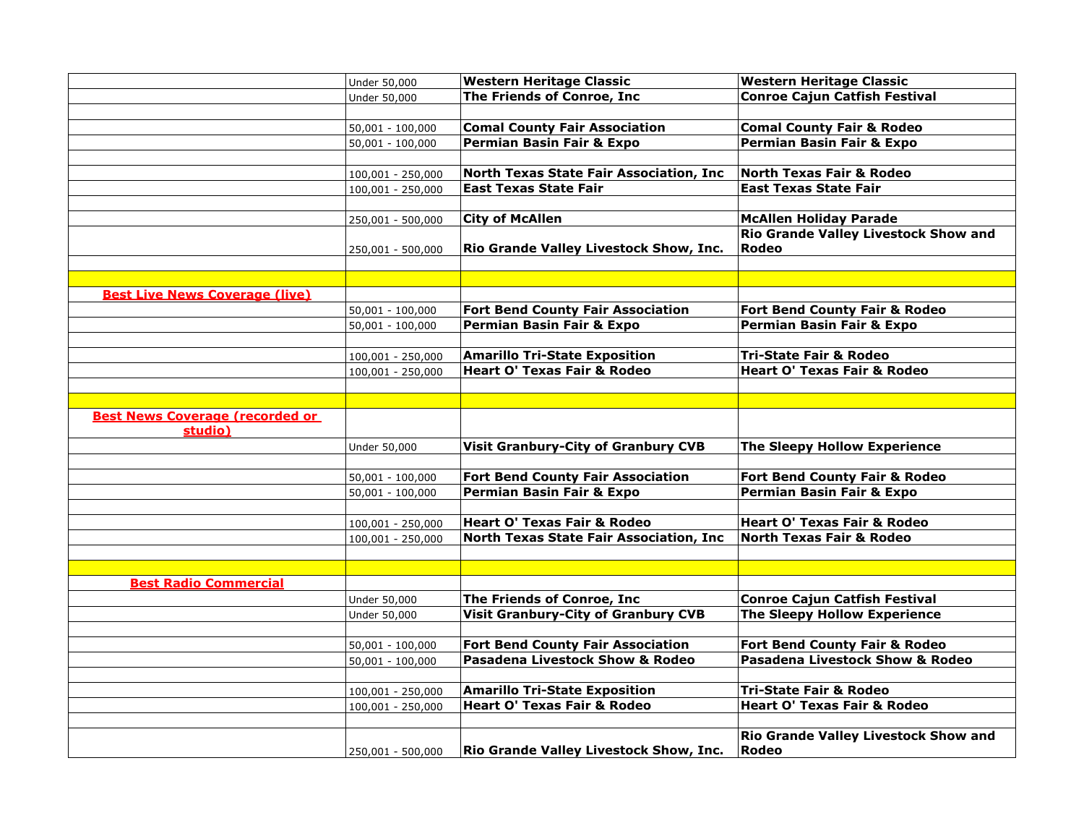|                                                   | Under 50,000        | <b>Western Heritage Classic</b>                | <b>Western Heritage Classic</b>             |
|---------------------------------------------------|---------------------|------------------------------------------------|---------------------------------------------|
|                                                   | Under 50,000        | The Friends of Conroe, Inc                     | <b>Conroe Cajun Catfish Festival</b>        |
|                                                   |                     |                                                |                                             |
|                                                   | $50,001 - 100,000$  | <b>Comal County Fair Association</b>           | <b>Comal County Fair &amp; Rodeo</b>        |
|                                                   | $50,001 - 100,000$  | <b>Permian Basin Fair &amp; Expo</b>           | Permian Basin Fair & Expo                   |
|                                                   |                     |                                                |                                             |
|                                                   | 100,001 - 250,000   | North Texas State Fair Association, Inc        | <b>North Texas Fair &amp; Rodeo</b>         |
|                                                   | $100,001 - 250,000$ | <b>East Texas State Fair</b>                   | <b>East Texas State Fair</b>                |
|                                                   |                     |                                                |                                             |
|                                                   | 250,001 - 500,000   | <b>City of McAllen</b>                         | <b>McAllen Holiday Parade</b>               |
|                                                   |                     |                                                | <b>Rio Grande Valley Livestock Show and</b> |
|                                                   | 250,001 - 500,000   | Rio Grande Valley Livestock Show, Inc.         | Rodeo                                       |
|                                                   |                     |                                                |                                             |
|                                                   |                     |                                                |                                             |
| <b>Best Live News Coverage (live)</b>             |                     |                                                |                                             |
|                                                   | $50,001 - 100,000$  | <b>Fort Bend County Fair Association</b>       | Fort Bend County Fair & Rodeo               |
|                                                   | $50,001 - 100,000$  | Permian Basin Fair & Expo                      | Permian Basin Fair & Expo                   |
|                                                   |                     |                                                |                                             |
|                                                   | 100,001 - 250,000   | <b>Amarillo Tri-State Exposition</b>           | <b>Tri-State Fair &amp; Rodeo</b>           |
|                                                   | 100,001 - 250,000   | <b>Heart O' Texas Fair &amp; Rodeo</b>         | <b>Heart O' Texas Fair &amp; Rodeo</b>      |
|                                                   |                     |                                                |                                             |
|                                                   |                     |                                                |                                             |
| <b>Best News Coverage (recorded or</b><br>studio) |                     |                                                |                                             |
|                                                   | Under 50,000        | <b>Visit Granbury-City of Granbury CVB</b>     | <b>The Sleepy Hollow Experience</b>         |
|                                                   |                     |                                                |                                             |
|                                                   | $50,001 - 100,000$  | <b>Fort Bend County Fair Association</b>       | Fort Bend County Fair & Rodeo               |
|                                                   | $50,001 - 100,000$  | Permian Basin Fair & Expo                      | Permian Basin Fair & Expo                   |
|                                                   |                     |                                                |                                             |
|                                                   | 100,001 - 250,000   | <b>Heart O' Texas Fair &amp; Rodeo</b>         | <b>Heart O' Texas Fair &amp; Rodeo</b>      |
|                                                   | $100,001 - 250,000$ | <b>North Texas State Fair Association, Inc</b> | <b>North Texas Fair &amp; Rodeo</b>         |
|                                                   |                     |                                                |                                             |
|                                                   |                     |                                                |                                             |
| <b>Best Radio Commercial</b>                      |                     |                                                |                                             |
|                                                   | Under 50,000        | The Friends of Conroe, Inc                     | <b>Conroe Cajun Catfish Festival</b>        |
|                                                   | Under 50,000        | <b>Visit Granbury-City of Granbury CVB</b>     | <b>The Sleepy Hollow Experience</b>         |
|                                                   |                     |                                                |                                             |
|                                                   | $50,001 - 100,000$  | <b>Fort Bend County Fair Association</b>       | Fort Bend County Fair & Rodeo               |
|                                                   | $50,001 - 100,000$  | <b>Pasadena Livestock Show &amp; Rodeo</b>     | <b>Pasadena Livestock Show &amp; Rodeo</b>  |
|                                                   |                     |                                                |                                             |
|                                                   | 100,001 - 250,000   | <b>Amarillo Tri-State Exposition</b>           | <b>Tri-State Fair &amp; Rodeo</b>           |
|                                                   | 100,001 - 250,000   | <b>Heart O' Texas Fair &amp; Rodeo</b>         | <b>Heart O' Texas Fair &amp; Rodeo</b>      |
|                                                   |                     |                                                |                                             |
|                                                   |                     |                                                | Rio Grande Valley Livestock Show and        |
|                                                   | 250,001 - 500,000   | <b>Rio Grande Valley Livestock Show, Inc.</b>  | Rodeo                                       |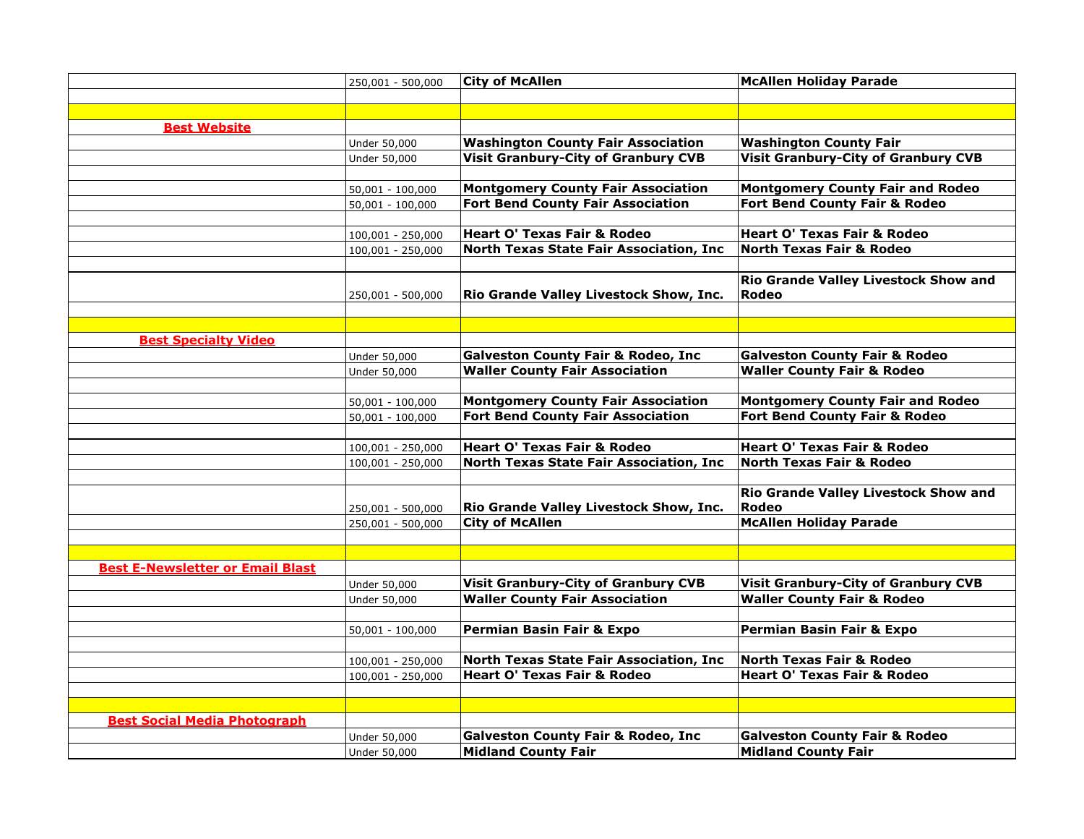|                                         | 250,001 - 500,000  | <b>City of McAllen</b>                         | <b>McAllen Holiday Parade</b>              |
|-----------------------------------------|--------------------|------------------------------------------------|--------------------------------------------|
|                                         |                    |                                                |                                            |
|                                         |                    |                                                |                                            |
| <b>Best Website</b>                     |                    |                                                |                                            |
|                                         | Under 50,000       | <b>Washington County Fair Association</b>      | <b>Washington County Fair</b>              |
|                                         | Under 50,000       | <b>Visit Granbury-City of Granbury CVB</b>     | <b>Visit Granbury-City of Granbury CVB</b> |
|                                         |                    |                                                |                                            |
|                                         | $50,001 - 100,000$ | <b>Montgomery County Fair Association</b>      | <b>Montgomery County Fair and Rodeo</b>    |
|                                         | $50,001 - 100,000$ | <b>Fort Bend County Fair Association</b>       | Fort Bend County Fair & Rodeo              |
|                                         |                    |                                                |                                            |
|                                         | 100,001 - 250,000  | <b>Heart O' Texas Fair &amp; Rodeo</b>         | <b>Heart O' Texas Fair &amp; Rodeo</b>     |
|                                         | 100,001 - 250,000  | <b>North Texas State Fair Association, Inc</b> | <b>North Texas Fair &amp; Rodeo</b>        |
|                                         |                    |                                                |                                            |
|                                         |                    |                                                | Rio Grande Valley Livestock Show and       |
|                                         | 250,001 - 500,000  | Rio Grande Valley Livestock Show, Inc.         | Rodeo                                      |
|                                         |                    |                                                |                                            |
|                                         |                    |                                                |                                            |
| <b>Best Specialty Video</b>             |                    |                                                |                                            |
|                                         | Under 50,000       | <b>Galveston County Fair &amp; Rodeo, Inc</b>  | <b>Galveston County Fair &amp; Rodeo</b>   |
|                                         | Under 50,000       | <b>Waller County Fair Association</b>          | <b>Waller County Fair &amp; Rodeo</b>      |
|                                         |                    |                                                |                                            |
|                                         | $50,001 - 100,000$ | <b>Montgomery County Fair Association</b>      | <b>Montgomery County Fair and Rodeo</b>    |
|                                         | $50,001 - 100,000$ | <b>Fort Bend County Fair Association</b>       | Fort Bend County Fair & Rodeo              |
|                                         |                    |                                                |                                            |
|                                         | 100,001 - 250,000  | <b>Heart O' Texas Fair &amp; Rodeo</b>         | <b>Heart O' Texas Fair &amp; Rodeo</b>     |
|                                         | 100,001 - 250,000  | North Texas State Fair Association, Inc        | <b>North Texas Fair &amp; Rodeo</b>        |
|                                         |                    |                                                |                                            |
|                                         |                    |                                                | Rio Grande Valley Livestock Show and       |
|                                         | 250,001 - 500,000  | Rio Grande Valley Livestock Show, Inc.         | Rodeo                                      |
|                                         | 250,001 - 500,000  | <b>City of McAllen</b>                         | <b>McAllen Holiday Parade</b>              |
|                                         |                    |                                                |                                            |
|                                         |                    |                                                |                                            |
| <b>Best E-Newsletter or Email Blast</b> |                    |                                                |                                            |
|                                         | Under 50,000       | <b>Visit Granbury-City of Granbury CVB</b>     | <b>Visit Granbury-City of Granbury CVB</b> |
|                                         | Under 50,000       | <b>Waller County Fair Association</b>          | <b>Waller County Fair &amp; Rodeo</b>      |
|                                         |                    |                                                |                                            |
|                                         | 50,001 - 100,000   | Permian Basin Fair & Expo                      | Permian Basin Fair & Expo                  |
|                                         |                    |                                                |                                            |
|                                         | 100,001 - 250,000  | North Texas State Fair Association, Inc        | <b>North Texas Fair &amp; Rodeo</b>        |
|                                         | 100,001 - 250,000  | <b>Heart O' Texas Fair &amp; Rodeo</b>         | <b>Heart O' Texas Fair &amp; Rodeo</b>     |
|                                         |                    |                                                |                                            |
|                                         |                    |                                                |                                            |
| <b>Best Social Media Photograph</b>     |                    |                                                |                                            |
|                                         | Under 50,000       | <b>Galveston County Fair &amp; Rodeo, Inc</b>  | <b>Galveston County Fair &amp; Rodeo</b>   |
|                                         | Under 50,000       | <b>Midland County Fair</b>                     | <b>Midland County Fair</b>                 |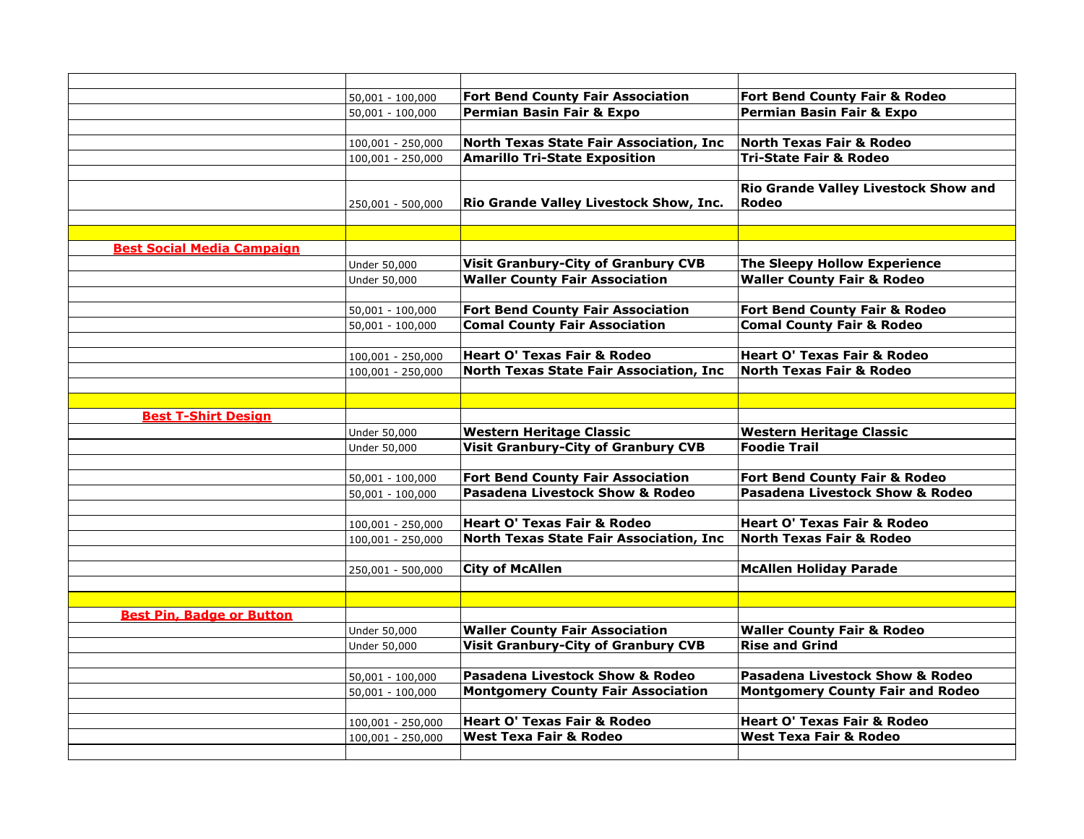|                                   | $50,001 - 100,000$  | <b>Fort Bend County Fair Association</b>   | Fort Bend County Fair & Rodeo               |
|-----------------------------------|---------------------|--------------------------------------------|---------------------------------------------|
|                                   | $50,001 - 100,000$  | Permian Basin Fair & Expo                  | Permian Basin Fair & Expo                   |
|                                   |                     |                                            |                                             |
|                                   | 100,001 - 250,000   | North Texas State Fair Association, Inc    | <b>North Texas Fair &amp; Rodeo</b>         |
|                                   | $100,001 - 250,000$ | <b>Amarillo Tri-State Exposition</b>       | <b>Tri-State Fair &amp; Rodeo</b>           |
|                                   |                     |                                            |                                             |
|                                   |                     |                                            | <b>Rio Grande Valley Livestock Show and</b> |
|                                   | 250,001 - 500,000   | Rio Grande Valley Livestock Show, Inc.     | Rodeo                                       |
|                                   |                     |                                            |                                             |
|                                   |                     |                                            |                                             |
| <b>Best Social Media Campaign</b> |                     |                                            |                                             |
|                                   | Under 50,000        | <b>Visit Granbury-City of Granbury CVB</b> | <b>The Sleepy Hollow Experience</b>         |
|                                   | Under 50,000        | <b>Waller County Fair Association</b>      | <b>Waller County Fair &amp; Rodeo</b>       |
|                                   |                     |                                            |                                             |
|                                   | $50,001 - 100,000$  | <b>Fort Bend County Fair Association</b>   | Fort Bend County Fair & Rodeo               |
|                                   | $50,001 - 100,000$  | <b>Comal County Fair Association</b>       | <b>Comal County Fair &amp; Rodeo</b>        |
|                                   |                     |                                            |                                             |
|                                   | 100,001 - 250,000   | <b>Heart O' Texas Fair &amp; Rodeo</b>     | <b>Heart O' Texas Fair &amp; Rodeo</b>      |
|                                   | 100,001 - 250,000   | North Texas State Fair Association, Inc    | <b>North Texas Fair &amp; Rodeo</b>         |
|                                   |                     |                                            |                                             |
|                                   |                     |                                            |                                             |
| <b>Best T-Shirt Design</b>        |                     |                                            |                                             |
|                                   | Under 50,000        | <b>Western Heritage Classic</b>            | <b>Western Heritage Classic</b>             |
|                                   | Under 50,000        | <b>Visit Granbury-City of Granbury CVB</b> | <b>Foodie Trail</b>                         |
|                                   |                     |                                            |                                             |
|                                   | $50,001 - 100,000$  | <b>Fort Bend County Fair Association</b>   | Fort Bend County Fair & Rodeo               |
|                                   | $50,001 - 100,000$  | <b>Pasadena Livestock Show &amp; Rodeo</b> | <b>Pasadena Livestock Show &amp; Rodeo</b>  |
|                                   |                     |                                            |                                             |
|                                   | 100,001 - 250,000   | <b>Heart O' Texas Fair &amp; Rodeo</b>     | <b>Heart O' Texas Fair &amp; Rodeo</b>      |
|                                   | 100,001 - 250,000   | North Texas State Fair Association, Inc    | <b>North Texas Fair &amp; Rodeo</b>         |
|                                   |                     |                                            |                                             |
|                                   | 250,001 - 500,000   | <b>City of McAllen</b>                     | <b>McAllen Holiday Parade</b>               |
|                                   |                     |                                            |                                             |
|                                   |                     |                                            |                                             |
| <b>Best Pin, Badge or Button</b>  |                     |                                            |                                             |
|                                   | Under 50,000        | <b>Waller County Fair Association</b>      | <b>Waller County Fair &amp; Rodeo</b>       |
|                                   | Under 50,000        | <b>Visit Granbury-City of Granbury CVB</b> | <b>Rise and Grind</b>                       |
|                                   |                     |                                            |                                             |
|                                   | $50,001 - 100,000$  | Pasadena Livestock Show & Rodeo            | Pasadena Livestock Show & Rodeo             |
|                                   | $50,001 - 100,000$  | <b>Montgomery County Fair Association</b>  | <b>Montgomery County Fair and Rodeo</b>     |
|                                   |                     |                                            |                                             |
|                                   | 100,001 - 250,000   | <b>Heart O' Texas Fair &amp; Rodeo</b>     | <b>Heart O' Texas Fair &amp; Rodeo</b>      |
|                                   | 100,001 - 250,000   | <b>West Texa Fair &amp; Rodeo</b>          | <b>West Texa Fair &amp; Rodeo</b>           |
|                                   |                     |                                            |                                             |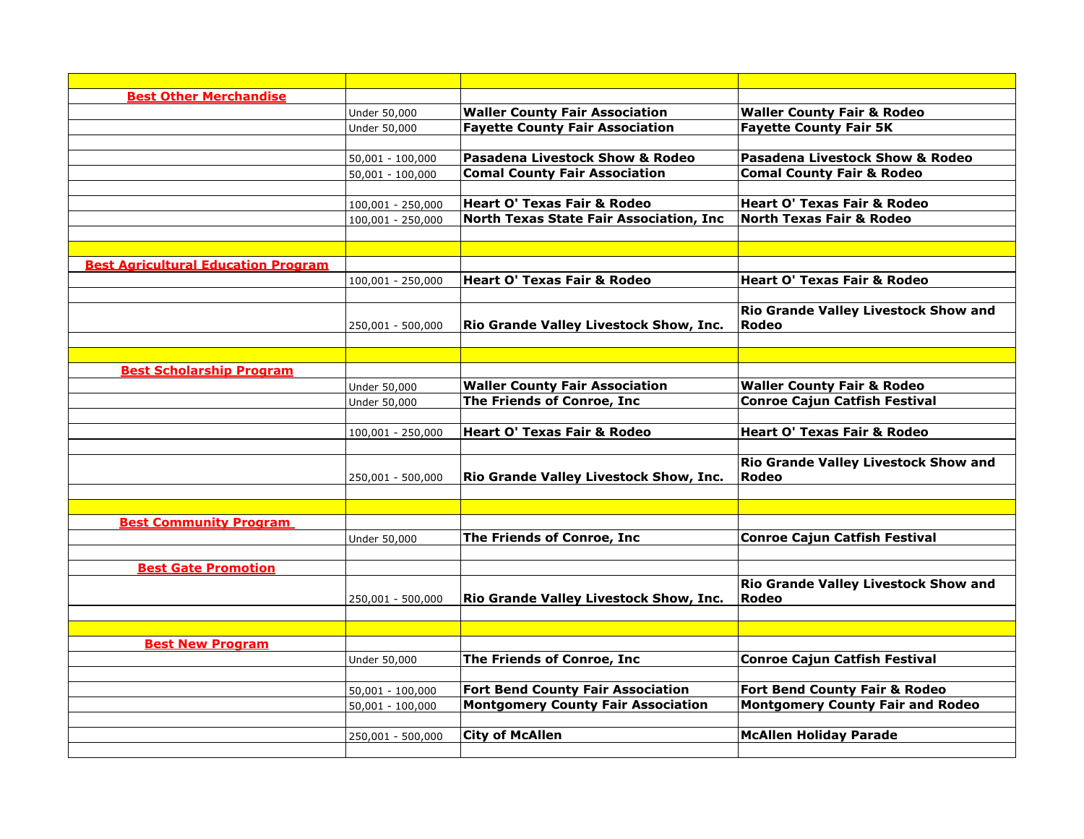| <b>Best Other Merchandise</b>              |                     |                                            |                                            |
|--------------------------------------------|---------------------|--------------------------------------------|--------------------------------------------|
|                                            | Under 50,000        | <b>Waller County Fair Association</b>      | <b>Waller County Fair &amp; Rodeo</b>      |
|                                            | Under 50,000        | <b>Fayette County Fair Association</b>     | <b>Fayette County Fair 5K</b>              |
|                                            |                     |                                            |                                            |
|                                            | $50,001 - 100,000$  | <b>Pasadena Livestock Show &amp; Rodeo</b> | <b>Pasadena Livestock Show &amp; Rodeo</b> |
|                                            | $50,001 - 100,000$  | <b>Comal County Fair Association</b>       | <b>Comal County Fair &amp; Rodeo</b>       |
|                                            |                     |                                            |                                            |
|                                            | 100,001 - 250,000   | <b>Heart O' Texas Fair &amp; Rodeo</b>     | <b>Heart O' Texas Fair &amp; Rodeo</b>     |
|                                            | $100,001 - 250,000$ | North Texas State Fair Association, Inc    | <b>North Texas Fair &amp; Rodeo</b>        |
|                                            |                     |                                            |                                            |
|                                            |                     |                                            |                                            |
| <b>Best Agricultural Education Program</b> |                     |                                            |                                            |
|                                            | 100,001 - 250,000   | <b>Heart O' Texas Fair &amp; Rodeo</b>     | <b>Heart O' Texas Fair &amp; Rodeo</b>     |
|                                            |                     |                                            |                                            |
|                                            |                     |                                            | Rio Grande Valley Livestock Show and       |
|                                            | 250,001 - 500,000   | Rio Grande Valley Livestock Show, Inc.     | Rodeo                                      |
|                                            |                     |                                            |                                            |
|                                            |                     |                                            |                                            |
| <b>Best Scholarship Program</b>            |                     |                                            |                                            |
|                                            | Under 50,000        | <b>Waller County Fair Association</b>      | <b>Waller County Fair &amp; Rodeo</b>      |
|                                            | Under 50,000        | The Friends of Conroe, Inc                 | <b>Conroe Cajun Catfish Festival</b>       |
|                                            |                     |                                            |                                            |
|                                            | 100,001 - 250,000   | <b>Heart O' Texas Fair &amp; Rodeo</b>     | <b>Heart O' Texas Fair &amp; Rodeo</b>     |
|                                            |                     |                                            |                                            |
|                                            |                     |                                            | Rio Grande Valley Livestock Show and       |
|                                            | 250,001 - 500,000   | Rio Grande Valley Livestock Show, Inc.     | Rodeo                                      |
|                                            |                     |                                            |                                            |
| <b>Best Community Program</b>              |                     |                                            |                                            |
|                                            | Under 50,000        | The Friends of Conroe, Inc                 | <b>Conroe Cajun Catfish Festival</b>       |
|                                            |                     |                                            |                                            |
| <b>Best Gate Promotion</b>                 |                     |                                            |                                            |
|                                            |                     |                                            | Rio Grande Valley Livestock Show and       |
|                                            | 250,001 - 500,000   | Rio Grande Valley Livestock Show, Inc.     | Rodeo                                      |
|                                            |                     |                                            |                                            |
|                                            |                     |                                            |                                            |
| <b>Best New Program</b>                    |                     |                                            |                                            |
|                                            | Under 50,000        | The Friends of Conroe, Inc                 | <b>Conroe Cajun Catfish Festival</b>       |
|                                            |                     |                                            |                                            |
|                                            | $50,001 - 100,000$  | <b>Fort Bend County Fair Association</b>   | Fort Bend County Fair & Rodeo              |
|                                            | $50,001 - 100,000$  | <b>Montgomery County Fair Association</b>  | <b>Montgomery County Fair and Rodeo</b>    |
|                                            |                     |                                            |                                            |
|                                            | 250,001 - 500,000   | <b>City of McAllen</b>                     | <b>McAllen Holiday Parade</b>              |
|                                            |                     |                                            |                                            |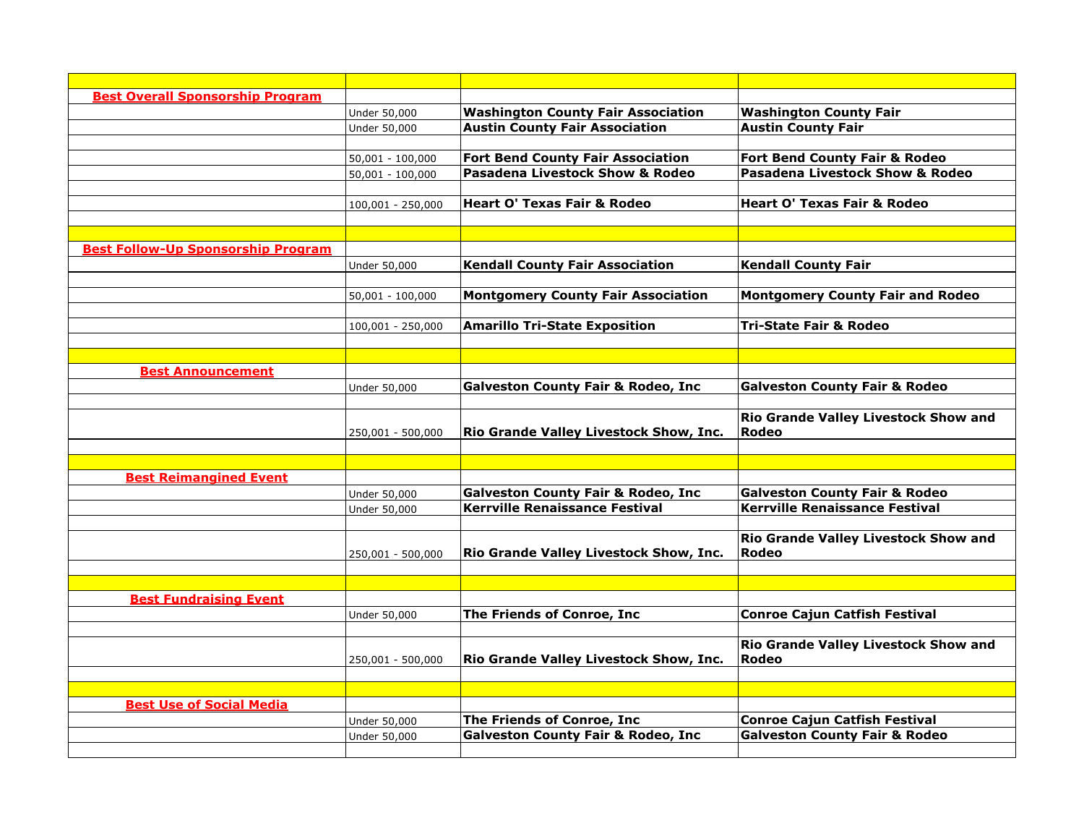| <b>Best Overall Sponsorship Program</b>   |                    |                                                                                        |                                                                                   |
|-------------------------------------------|--------------------|----------------------------------------------------------------------------------------|-----------------------------------------------------------------------------------|
|                                           | Under 50,000       | <b>Washington County Fair Association</b>                                              | <b>Washington County Fair</b>                                                     |
|                                           | Under 50,000       | <b>Austin County Fair Association</b>                                                  | <b>Austin County Fair</b>                                                         |
|                                           |                    |                                                                                        |                                                                                   |
|                                           | $50,001 - 100,000$ | <b>Fort Bend County Fair Association</b>                                               | Fort Bend County Fair & Rodeo                                                     |
|                                           | $50,001 - 100,000$ | Pasadena Livestock Show & Rodeo                                                        | <b>Pasadena Livestock Show &amp; Rodeo</b>                                        |
|                                           |                    |                                                                                        |                                                                                   |
|                                           | 100,001 - 250,000  | <b>Heart O' Texas Fair &amp; Rodeo</b>                                                 | <b>Heart O' Texas Fair &amp; Rodeo</b>                                            |
|                                           |                    |                                                                                        |                                                                                   |
|                                           |                    |                                                                                        |                                                                                   |
| <b>Best Follow-Up Sponsorship Program</b> |                    |                                                                                        |                                                                                   |
|                                           | Under 50,000       | <b>Kendall County Fair Association</b>                                                 | <b>Kendall County Fair</b>                                                        |
|                                           |                    |                                                                                        |                                                                                   |
|                                           | $50,001 - 100,000$ | <b>Montgomery County Fair Association</b>                                              | <b>Montgomery County Fair and Rodeo</b>                                           |
|                                           |                    |                                                                                        |                                                                                   |
|                                           | 100,001 - 250,000  | <b>Amarillo Tri-State Exposition</b>                                                   | <b>Tri-State Fair &amp; Rodeo</b>                                                 |
|                                           |                    |                                                                                        |                                                                                   |
|                                           |                    |                                                                                        |                                                                                   |
| <b>Best Announcement</b>                  |                    |                                                                                        |                                                                                   |
|                                           | Under 50,000       | <b>Galveston County Fair &amp; Rodeo, Inc</b>                                          | <b>Galveston County Fair &amp; Rodeo</b>                                          |
|                                           |                    |                                                                                        |                                                                                   |
|                                           |                    |                                                                                        | Rio Grande Valley Livestock Show and                                              |
|                                           | 250,001 - 500,000  | Rio Grande Valley Livestock Show, Inc.                                                 | Rodeo                                                                             |
|                                           |                    |                                                                                        |                                                                                   |
|                                           |                    |                                                                                        |                                                                                   |
| <b>Best Reimangined Event</b>             |                    |                                                                                        |                                                                                   |
|                                           | Under 50,000       | <b>Galveston County Fair &amp; Rodeo, Inc</b><br><b>Kerrville Renaissance Festival</b> | <b>Galveston County Fair &amp; Rodeo</b><br><b>Kerrville Renaissance Festival</b> |
|                                           | Under 50,000       |                                                                                        |                                                                                   |
|                                           |                    |                                                                                        | Rio Grande Valley Livestock Show and                                              |
|                                           | 250,001 - 500,000  | Rio Grande Valley Livestock Show, Inc.                                                 | Rodeo                                                                             |
|                                           |                    |                                                                                        |                                                                                   |
|                                           |                    |                                                                                        |                                                                                   |
| <b>Best Fundraising Event</b>             |                    |                                                                                        |                                                                                   |
|                                           | Under 50,000       | The Friends of Conroe, Inc                                                             | <b>Conroe Cajun Catfish Festival</b>                                              |
|                                           |                    |                                                                                        |                                                                                   |
|                                           |                    |                                                                                        | Rio Grande Valley Livestock Show and                                              |
|                                           | 250,001 - 500,000  | Rio Grande Valley Livestock Show, Inc.                                                 | Rodeo                                                                             |
|                                           |                    |                                                                                        |                                                                                   |
|                                           |                    |                                                                                        |                                                                                   |
| <b>Best Use of Social Media</b>           |                    |                                                                                        |                                                                                   |
|                                           | Under 50,000       | The Friends of Conroe, Inc                                                             | <b>Conroe Cajun Catfish Festival</b>                                              |
|                                           | Under 50,000       | <b>Galveston County Fair &amp; Rodeo, Inc</b>                                          | <b>Galveston County Fair &amp; Rodeo</b>                                          |
|                                           |                    |                                                                                        |                                                                                   |